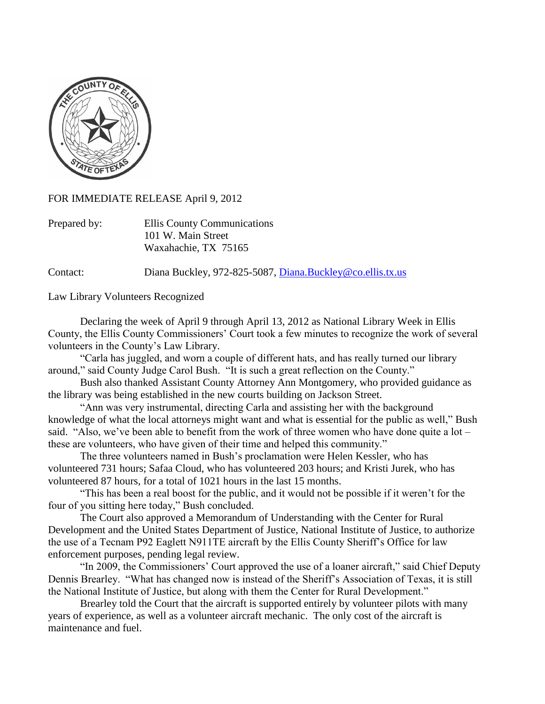

FOR IMMEDIATE RELEASE April 9, 2012

| Prepared by: | Ellis County Communications |
|--------------|-----------------------------|
|              | 101 W. Main Street          |
|              | Waxahachie, TX 75165        |

Contact: Diana Buckley, 972-825-5087, [Diana.Buckley@co.ellis.tx.us](mailto:Diana.Buckley@co.ellis.tx.us)

Law Library Volunteers Recognized

Declaring the week of April 9 through April 13, 2012 as National Library Week in Ellis County, the Ellis County Commissioners' Court took a few minutes to recognize the work of several volunteers in the County's Law Library.

"Carla has juggled, and worn a couple of different hats, and has really turned our library around," said County Judge Carol Bush. "It is such a great reflection on the County."

Bush also thanked Assistant County Attorney Ann Montgomery, who provided guidance as the library was being established in the new courts building on Jackson Street.

"Ann was very instrumental, directing Carla and assisting her with the background knowledge of what the local attorneys might want and what is essential for the public as well," Bush said. "Also, we've been able to benefit from the work of three women who have done quite a lot – these are volunteers, who have given of their time and helped this community."

The three volunteers named in Bush's proclamation were Helen Kessler, who has volunteered 731 hours; Safaa Cloud, who has volunteered 203 hours; and Kristi Jurek, who has volunteered 87 hours, for a total of 1021 hours in the last 15 months.

"This has been a real boost for the public, and it would not be possible if it weren't for the four of you sitting here today," Bush concluded.

The Court also approved a Memorandum of Understanding with the Center for Rural Development and the United States Department of Justice, National Institute of Justice, to authorize the use of a Tecnam P92 Eaglett N911TE aircraft by the Ellis County Sheriff's Office for law enforcement purposes, pending legal review.

"In 2009, the Commissioners' Court approved the use of a loaner aircraft," said Chief Deputy Dennis Brearley. "What has changed now is instead of the Sheriff's Association of Texas, it is still the National Institute of Justice, but along with them the Center for Rural Development."

Brearley told the Court that the aircraft is supported entirely by volunteer pilots with many years of experience, as well as a volunteer aircraft mechanic. The only cost of the aircraft is maintenance and fuel.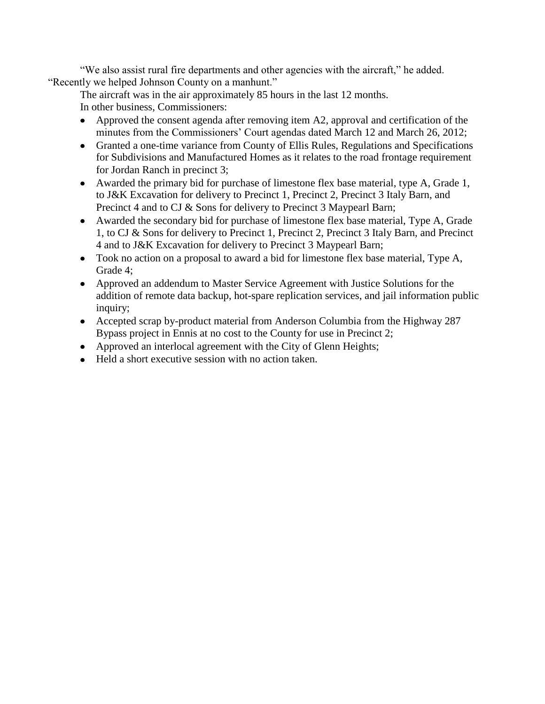"We also assist rural fire departments and other agencies with the aircraft," he added. "Recently we helped Johnson County on a manhunt."

The aircraft was in the air approximately 85 hours in the last 12 months. In other business, Commissioners:

- Approved the consent agenda after removing item A2, approval and certification of the minutes from the Commissioners' Court agendas dated March 12 and March 26, 2012;
- Granted a one-time variance from County of Ellis Rules, Regulations and Specifications for Subdivisions and Manufactured Homes as it relates to the road frontage requirement for Jordan Ranch in precinct 3;
- Awarded the primary bid for purchase of limestone flex base material, type A, Grade 1, to J&K Excavation for delivery to Precinct 1, Precinct 2, Precinct 3 Italy Barn, and Precinct 4 and to CJ & Sons for delivery to Precinct 3 Maypearl Barn;
- Awarded the secondary bid for purchase of limestone flex base material, Type A, Grade 1, to CJ & Sons for delivery to Precinct 1, Precinct 2, Precinct 3 Italy Barn, and Precinct 4 and to J&K Excavation for delivery to Precinct 3 Maypearl Barn;
- Took no action on a proposal to award a bid for limestone flex base material, Type A, Grade 4;
- Approved an addendum to Master Service Agreement with Justice Solutions for the addition of remote data backup, hot-spare replication services, and jail information public inquiry;
- Accepted scrap by-product material from Anderson Columbia from the Highway 287 Bypass project in Ennis at no cost to the County for use in Precinct 2;
- Approved an interlocal agreement with the City of Glenn Heights;
- Held a short executive session with no action taken.